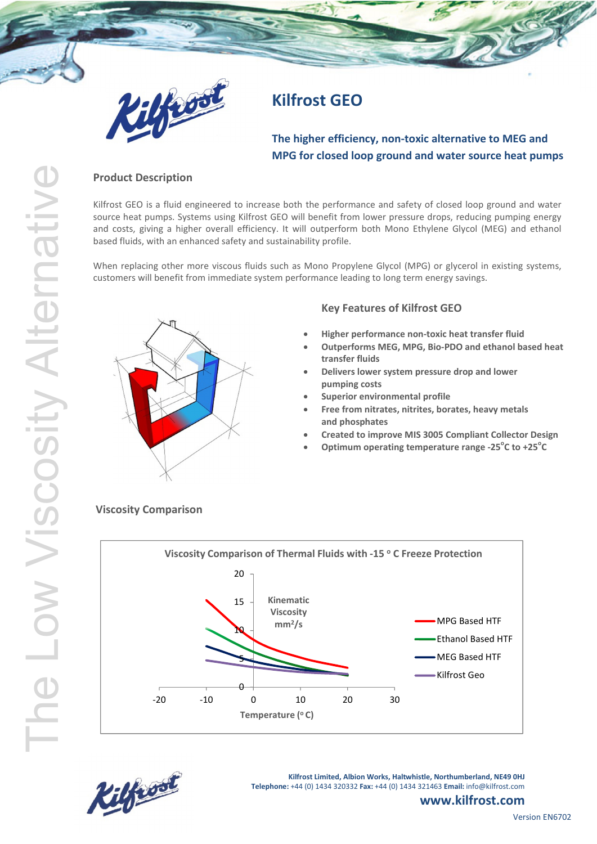

# **Kilfrost GEO**

# **The higher efficiency, non-toxic alternative to MEG and MPG for closed loop ground and water source heat pumps**

### **Product Description**

Kilfrost GEO is a fluid engineered to increase both the performance and safety of closed loop ground and water source heat pumps. Systems using Kilfrost GEO will benefit from lower pressure drops, reducing pumping energy and costs, giving a higher overall efficiency. It will outperform both Mono Ethylene Glycol (MEG) and ethanol based fluids, with an enhanced safety and sustainability profile.

When replacing other more viscous fluids such as Mono Propylene Glycol (MPG) or glycerol in existing systems, customers will benefit from immediate system performance leading to long term energy savings.



## **Key Features of Kilfrost GEO**

- **Higher performance non-toxic heat transfer fluid**
- **Outperforms MEG, MPG, Bio-PDO and ethanol based heat transfer fluids**
- **Delivers lower system pressure drop and lower pumping costs**
- **Superior environmental profile**
- **Free from nitrates, nitrites, borates, heavy metals and phosphates**
- **Created to improve MIS 3005 Compliant Collector Design**
- **Optimum operating temperature range -25<sup>o</sup> C to +25<sup>o</sup> C**

## **Viscosity Comparison**





**Kilfrost Limited, Albion Works, Haltwhistle, Northumberland, NE49 0HJ Telephone:** +44 (0) 1434 320332 **Fax:** +44 (0) 1434 321463 **Email:** info@kilfrost.com

# **www.kilfrost.com**